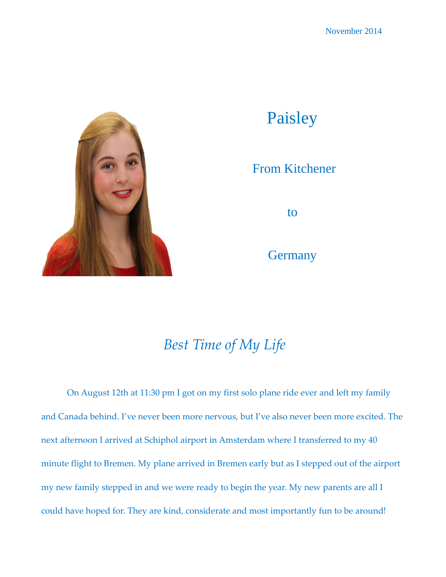

## Paisley

## From Kitchener

to

**Germany** 

## *Best Time of My Life*

On August 12th at 11:30 pm I got on my first solo plane ride ever and left my family and Canada behind. I've never been more nervous, but I've also never been more excited. The next afternoon I arrived at Schiphol airport in Amsterdam where I transferred to my 40 minute flight to Bremen. My plane arrived in Bremen early but as I stepped out of the airport my new family stepped in and we were ready to begin the year. My new parents are all I could have hoped for. They are kind, considerate and most importantly fun to be around!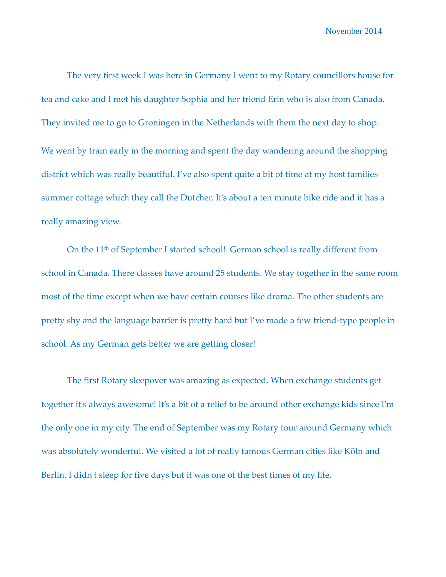November 2014

The very first week I was here in Germany I went to my Rotary councillors house for tea and cake and I met his daughter Sophia and her friend Erin who is also from Canada. They invited me to go to Groningen in the Netherlands with them the next day to shop. We went by train early in the morning and spent the day wandering around the shopping district which was really beautiful. I've also spent quite a bit of time at my host families summer cottage which they call the Dutcher. It's about a ten minute bike ride and it has a really amazing view.

On the 11<sup>th</sup> of September I started school! German school is really different from school in Canada. There classes have around 25 students. We stay together in the same room most of the time except when we have certain courses like drama. The other students are pretty shy and the language barrier is pretty hard but I've made a few friend-type people in school. As my German gets better we are getting closer!

The first Rotary sleepover was amazing as expected. When exchange students get together it's always awesome! It's a bit of a relief to be around other exchange kids since I'm the only one in my city. The end of September was my Rotary tour around Germany which was absolutely wonderful. We visited a lot of really famous German cities like Köln and Berlin. I didn't sleep for five days but it was one of the best times of my life.